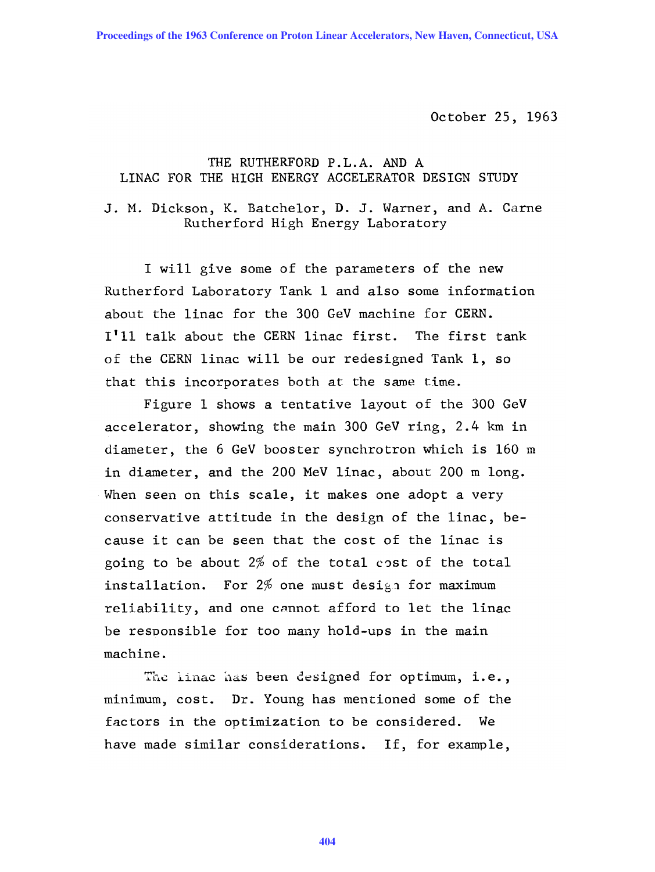Proceedings of the 1963 Conference on Proton Linear Accelerators, New Haven, Connecticut, USA

October 25, 1963

## THE RUTHERFORD P. L. A. AND A LINAC FOR THE HIGH ENERGY ACCELERATOR DESIGN STUDY

J. M. Dickson, K. Batchelor, D. J. Warner, and A. Carne Rutherford High Energy Laboratory

I will give some of the parameters of the new Rutherford Laboratory Tank 1 and also some information about the linac for the 300 GeV machine for CERN. **I'll** talk about the CERN linac first. The first tank of the CERN linac will be our redesigned Tank 1, so that this incorporates both at the same time.

Figure 1 shows a tentative layout of the 300 GeV accelerator, showing the main 300 GeV ring, 2.4 km in diameter, the 6 GeV booster synchrotron which is 160 m in diameter, and the 200 MeV linac, about 200 m long. When seen on this scale, it makes one adopt a very conservative attitude in the design of the linac, because it can be seen that the cost of the linac is going to be about  $2\%$  of the total cost of the total installation. For  $2\%$  one must design for maximum reliability, and one cannot afford to let the linac be responsible for too many hold-ups in the main machine.

The linac has been designed for optimum, i.e., minimum, cost. Dr. Young has mentioned some of the factors in the optimization to be considered. We have made similar considerations. If, for example,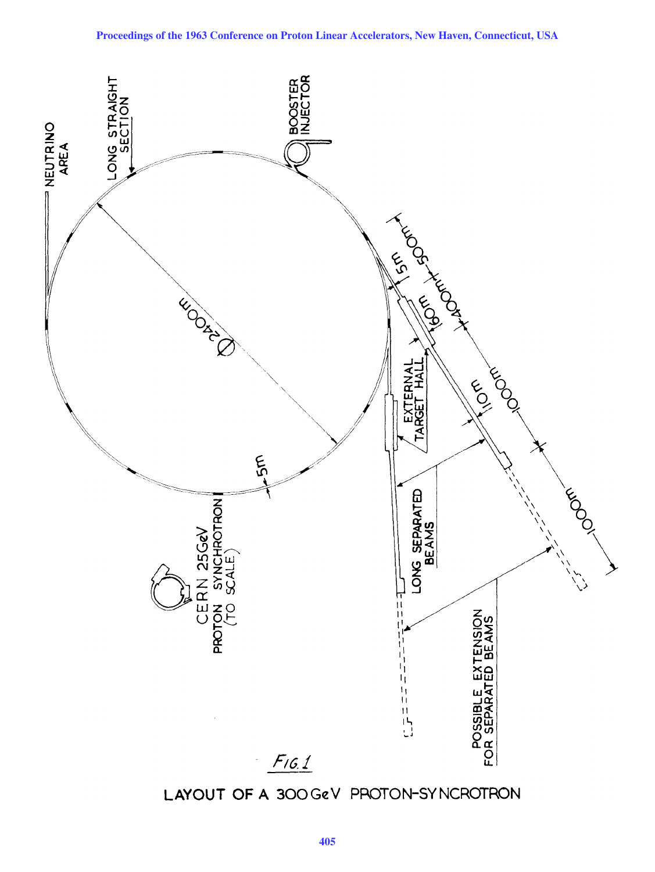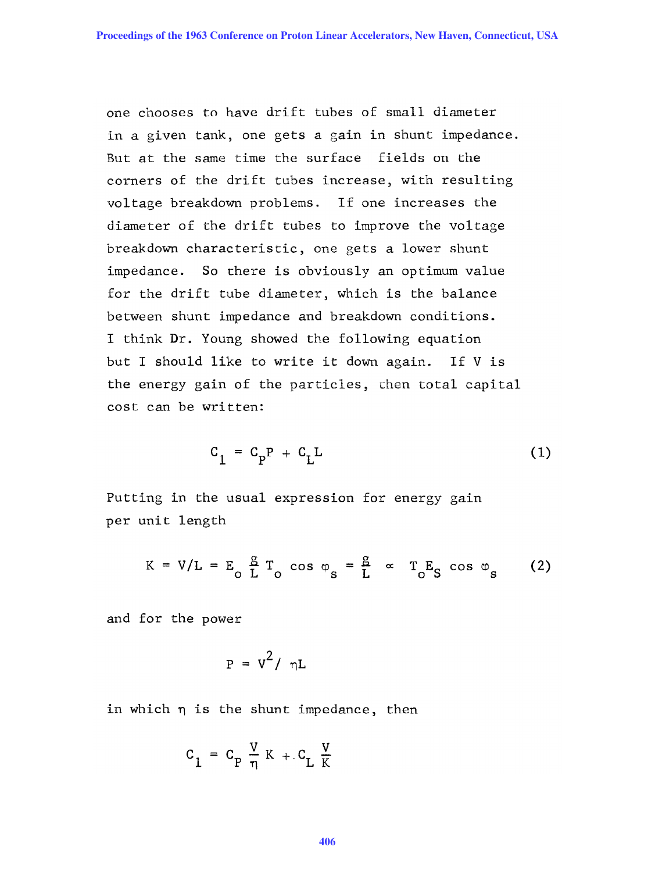one chooses to have drift tubes of small diameter in a given tank, one gets a gain in shunt impedance. But at the same time the surface fields on the corners of the drift tubes increase, with resulting voltage breakdown problems. If one increases the diameter of the drift tubes to improve the voltage breakdown characteristic, one gets a lower shunt impedance. So there is obviously an optimum value for the drift tube diameter, which is the balance between shunt impedance and breakdown conditions. I think Dr. Young showed the following equation but I should like to write it down again. If V is the energy gain of the particles, chen total capital cost can be written:

$$
C_1 = C_p P + C_L L \tag{1}
$$

Putting in the usual expression for energy gain per unit length

$$
K = V/L = E_0 \frac{g}{L} T_0 \cos \varphi_s = \frac{g}{L} \propto T_0 E_S \cos \varphi_s \qquad (2)
$$

and for the power

$$
P = V^2 / \eta L
$$

in which  $\eta$  is the shunt impedance, then

$$
c_1 = c_p \frac{V}{\eta} K + c_L \frac{V}{K}
$$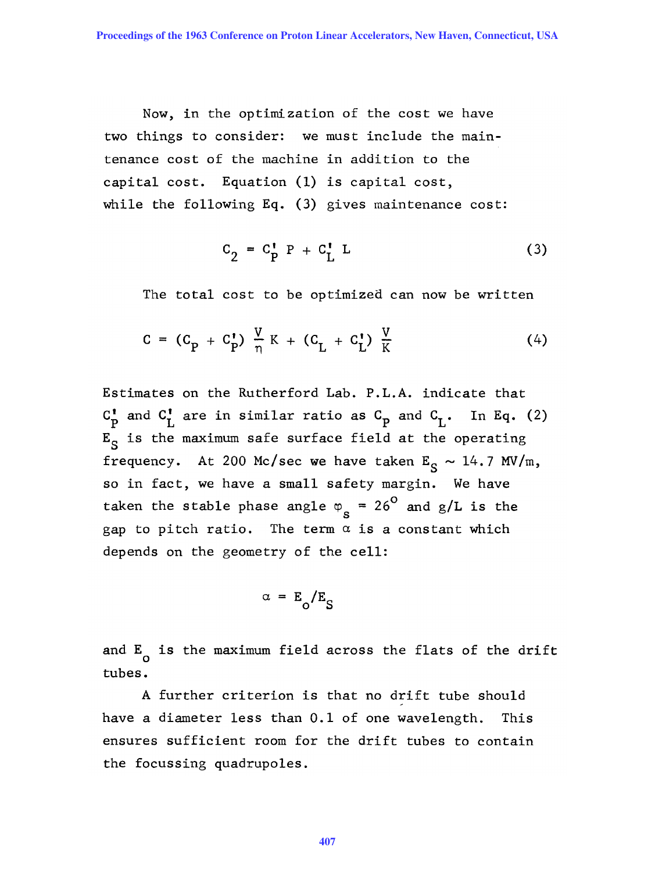Now, in the optimization of the cost we have two things to consider: we must include the maintenance cost of the machine in addition to the capital cost. Equation (1) is capital cost, while the following Eq. (3) gives maintenance cost:

$$
C_2 = C_P^{\dagger} P + C_L^{\dagger} L \tag{3}
$$

The total cost to be optimized can now be written

$$
C = (C_{P} + C_{P}^{T}) \frac{V}{\eta} K + (C_{L} + C_{L}^{T}) \frac{V}{K}
$$
 (4)

Estimates on the Rutherford Lab. P.L.A. indicate that  $C_P^{\dagger}$  and  $C_L^{\dagger}$  are in similar ratio as  $C_p$  and  $C_L^{\dagger}$ . In Eq. (2)  $E_S$  is the maximum safe surface field at the operating frequency. At 200 Mc/sec we have taken  $E_S \sim 14.7 \text{ MV/m}$ , so in fact, we have a small safety margin. We have taken the stable phase angle  $\varphi_{s}$  = 26<sup>0</sup> and g/L is the gap to pitch ratio. The term  $\alpha$  is a constant which depends on the geometry of the cell:

$$
\alpha = E_o/E_S
$$

and  $E_{\overline{O}}$  is the maximum field across the flats of the drift tubes.

A further criterion is that no drift tube should have a diameter less than 0.1 of one wavelength. This ensures sufficient room for the drift tubes to contain the focussing quadrupoles.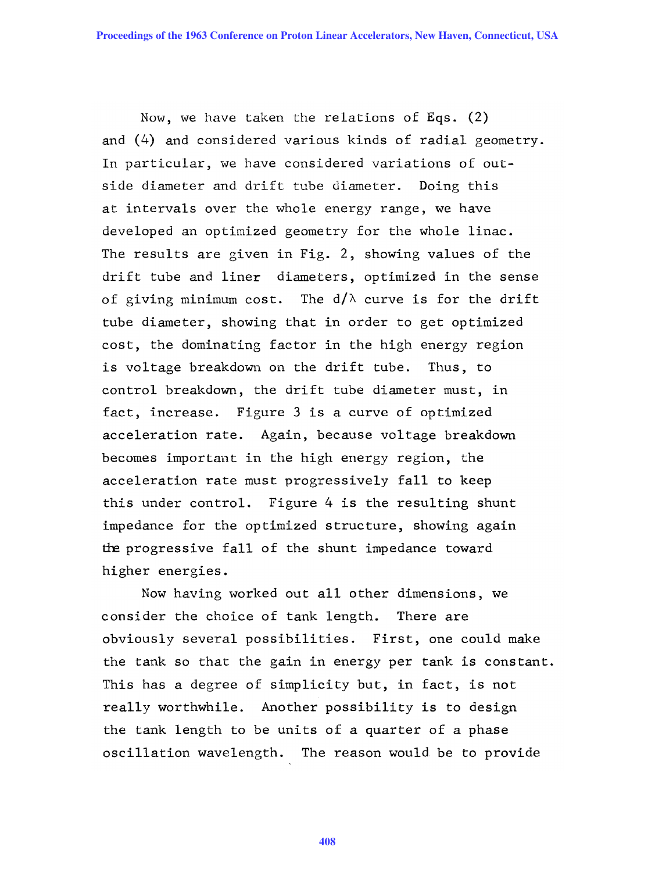Now, we have taken the relations of Eqs. (2) and (4) and considered various kinds of radial geometry. In particular, we have considered variations of outside diameter and drift tube diameter. Doing this at intervals over the whole energy range, we have developed an optimized geometry for the whole linac. The results are given in Fig. 2, showing values of the drift tube and liner diameters, optimized in the sense of giving minimum cost. The  $d/\lambda$  curve is for the drift tube diameter, showing that in order to get optimized cost, the dominating factor in the high energy region is voltage breakdown on the drift tube. Thus, to control breakdown, the drift tube diameter must, in fact, increase. Figure 3 is a curve of optimized acceleration rate. Again, because voltage breakdown becomes important in the high energy region, the acceleration rate must progressively fall to keep this under control. Figure 4 is the resulting shunt impedance for the optimized structure, showing again the progressive fall of the shunt impedance toward higher energies.

Now having worked out all other dimensions, we consider the choice of tank length. There are obviously several possibilities. First, one could make the tank so that the gain in energy per tank is constant. This has a degree of simplicity but, in fact, is not really worthwhile. Another possibility is to design the tank length to be units of a quarter of a phase oscillation wavelength. The reason would be to provide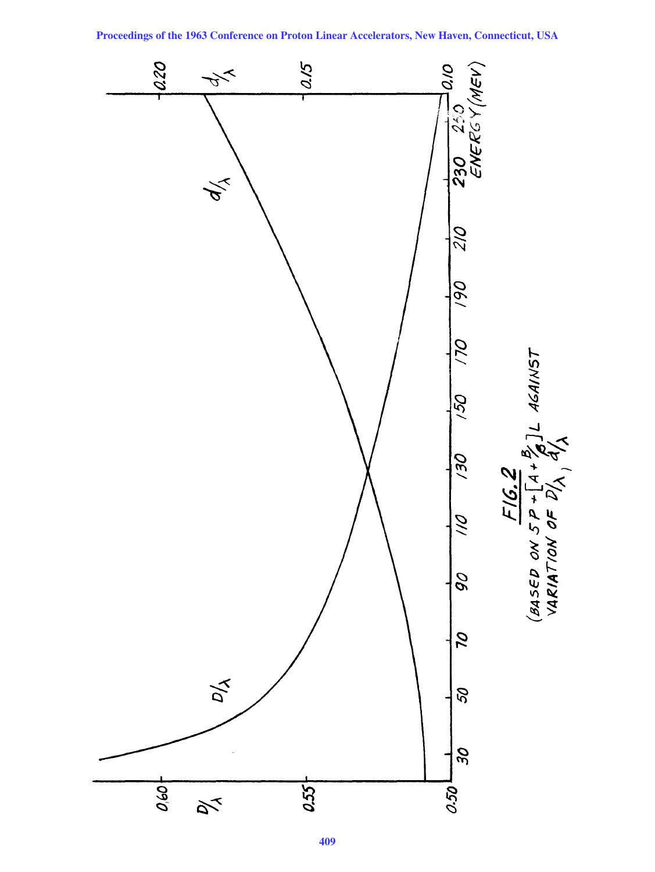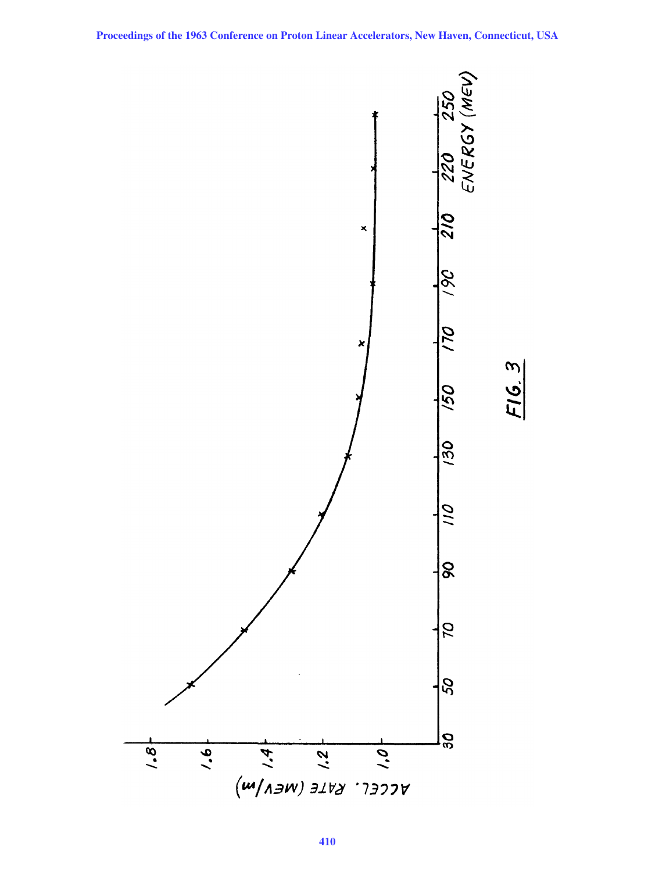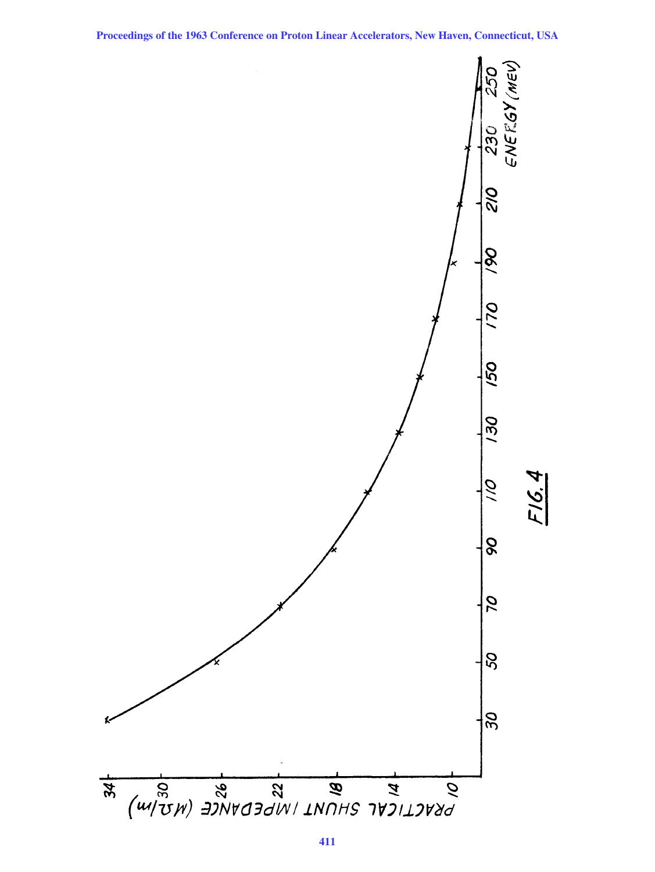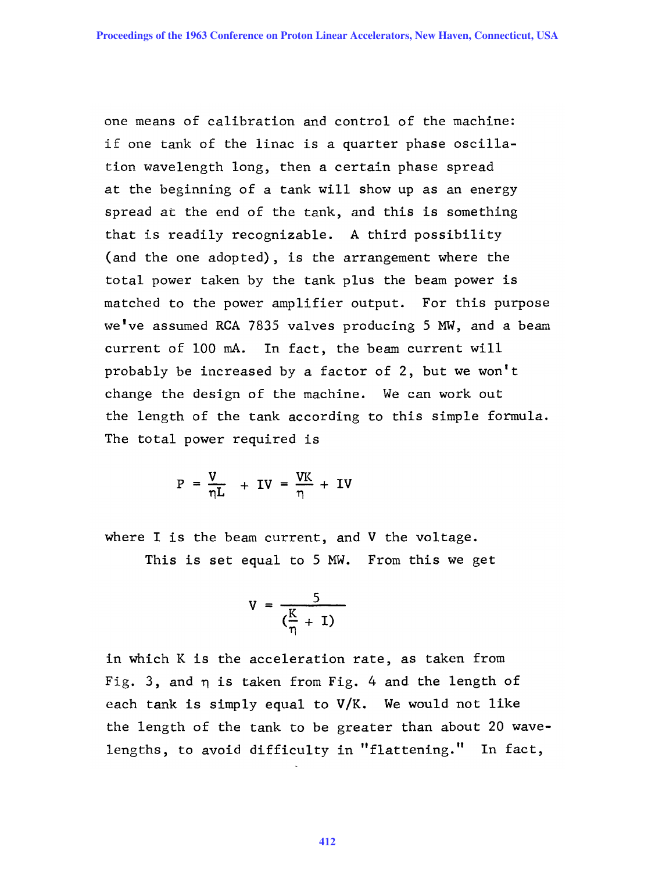one means of calibration and control of the machine: if one tank of the linac is a quarter phase oscillation wavelength long, then a certain phase spread at the beginning of a tank will show up as an energy spread at the end of the tank, and this is something that is readily recognizable. A third possibility (and the one adopted), is the arrangement where the total power taken by the tank plus the beam power is matched to the power amplifier output. For this purpose we've assumed RCA 7835 valves producing 5 MW, and a beam current of 100 mA. In fact, the beam current will probably be increased by a factor of 2, but we won't change the design of the machine. We can work out the length of the tank according to this simple formula. The total power required is

$$
P = \frac{V}{\eta L} + IV = \frac{VK}{\eta} + IV
$$

where I is the beam current, and V the voltage.

This is set equal to 5 MW. From this we get

$$
V = \frac{5}{(\frac{K}{\eta} + 1)}
$$

in which K is the acceleration rate, as taken from Fig. 3, and  $\eta$  is taken from Fig. 4 and the length of each tank is simply equal to V/K. We would not like the length of the tank to be greater than about 20 wavelengths, to avoid difficulty in "flattening." In fact,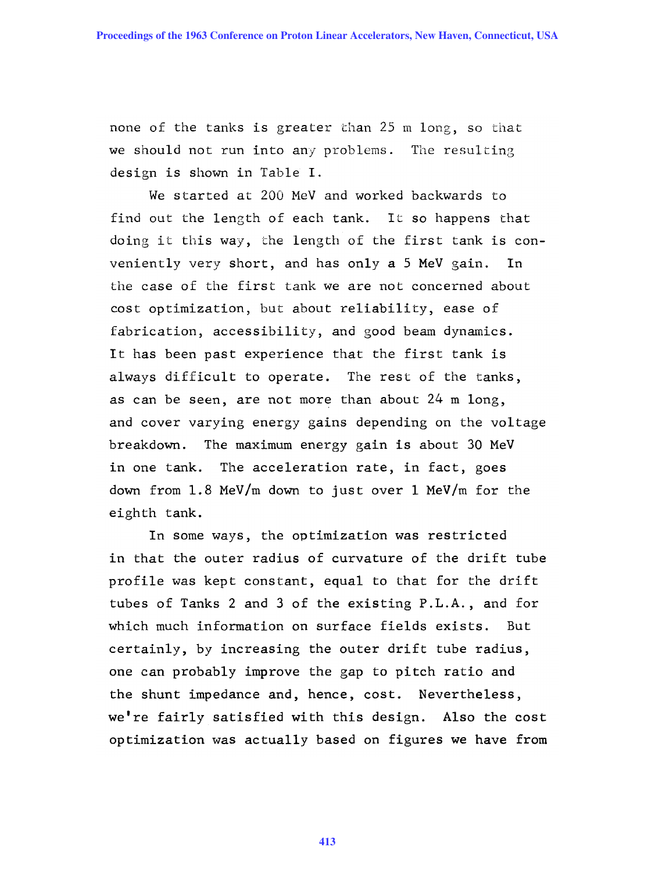none of the tanks is greater than 25 m long, so that we should not run into any problems. The resulting design is shown in Table I.

We started at 200 MeV and worked backwards to find out the length of each tank. It so happens that doing it this way, the length of the first tank is conveniently very short, and has only a 5 MeV gain. In the case of the first tank we are not concerned about cost optimization, but about reliability, ease of fabrication, accessibility, and good beam dynamics. It has been past experience that the first tank is always difficult to operate. The rest of the tanks, as can be seen, are not more than about 24 m long, and cover varying energy gains depending on the voltage breakdown. The maximum energy gain is about 30 MeV in one tank. The acceleration rate, in fact, goes down from 1.8 MeV/m down to just over 1 MeV/m for the eighth tank.

In some ways, the optimization was restricted in that the outer radius of curvature of the drift tube profile was kept constant, equal to that for the drift tubes of Tanks 2 and 3 of the existing P.L.A., and for which much information on surface fields exists. But certainly, by increasing the outer drift tube radius, one can probably improve the gap to pitch ratio and the shunt impedance and, hence, cost. Nevertheless, we're fairly satisfied with this design. Also the cost optimization was actually based on figures we have from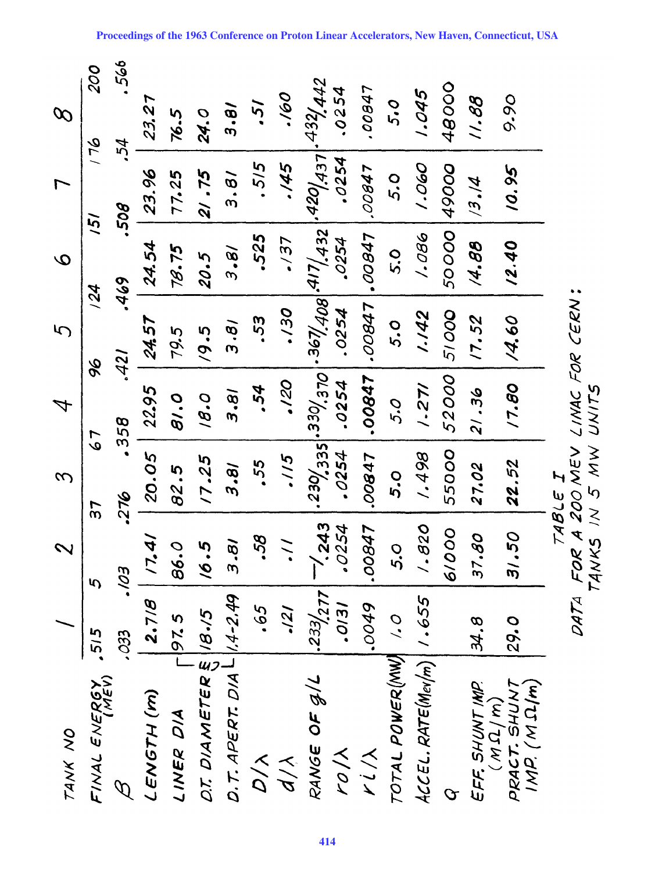| TANK NO                                      |                                 | $\boldsymbol{\sim}$                                       | 3               | $\mathcal{A}$                            | 5           | $\mathbf Q$                     |       | $\varnothing$                     |
|----------------------------------------------|---------------------------------|-----------------------------------------------------------|-----------------|------------------------------------------|-------------|---------------------------------|-------|-----------------------------------|
| FINAL ENERGY<br>IMENGY .515                  |                                 | ς.                                                        | 57              | 79                                       | 96          | /5/<br>124                      |       | 200<br>97                         |
| $\varphi$                                    | .033                            | 50/'                                                      | -276            | .358                                     | .421        | .469                            | ,508  | .566<br>-54                       |
| LENGTH (m)                                   | 2.718                           | 17.41                                                     | 20.05           | 22.95                                    | 24.57       | 24.54                           | 23.96 | 23.27                             |
| LINER DIA                                    | 97.5<br>$\overline{\mathsf{L}}$ | 86.0                                                      | 82.5            | 0.18                                     | 79.5        | 78.75                           | 77.25 | 76.5                              |
| DT. DIAMETER & 18.15                         |                                 | 6.5                                                       | 17.25           | 0.91                                     | 19.5        | 20.5                            | 21.75 | 24.0                              |
| $D.7.$ APERT. $D/A$ $L$ $ $ $/$ $4$ - $2.49$ |                                 | 3.81                                                      | 18.5            | $\overline{\mathcal{E}}\cdot\mathcal{E}$ | <b>18'E</b> | 3.81                            | 3.8   | $\ddot{e} \cdot \varepsilon$      |
| $\frac{1}{2}$                                | 59.                             | <b>SC.</b>                                                | 55.             | .54                                      | .53         | .525                            | .515  | ,51                               |
| $d/\lambda$                                  | 121                             | $\frac{1}{2}$                                             | .115            | .120                                     | .130        | 737                             | 57/'  | 091.                              |
| RANGE OF G/L                                 | 233/277                         | $-1/243$                                                  |                 |                                          | .0254       | $280(3355 - 367/408))$<br>.0254 | .0254 | $2420/437 \cdot 432/442$<br>.0254 |
| KON<br>1/7                                   | 15/0.<br>6400.                  | 0254<br>17800                                             | .0254<br>.00847 | .00847<br>.0254                          | 17800       | 17800.                          | 17800 | 10001                             |
| TOTAL POWER (MW) 1.0                         |                                 | 5.O                                                       | 0,0             | 5.0                                      | 0<br>5,     | 0<br>5                          | 5.0   | 5.0                               |
| ACCEL. RATE(Mev/m)   1.655                   |                                 | 028'                                                      | 1.498           | 1.271                                    | 1.142       | 1.086                           | 090'  | 1.045                             |
| $\mathcal{O}% _{A}^{(h,\sigma),(h,-\sigma)}$ |                                 | 6/000                                                     | 55000           | 52000                                    | 51000       | 50000                           | 49000 | 48000                             |
| EFF. SHUNT IMP.<br>(M $\Omega$ /m)           | 34.8                            | 37.80                                                     | 27.02           | 21.36                                    | 17.52       | 14.88                           | /3.14 | 11.88                             |
| PRACT. SHUNT<br>IMP. (M SL/m)                | 29.0                            | 31.50                                                     | 22.52           | 17.80                                    | 14.60       | 12.40                           | 10.95 | 9.90                              |
|                                              |                                 | DATA FOR A 200 MEV LINAC FOR CERN:<br>TANKS IN 5 MW UNITS | TABLE I         |                                          |             |                                 |       |                                   |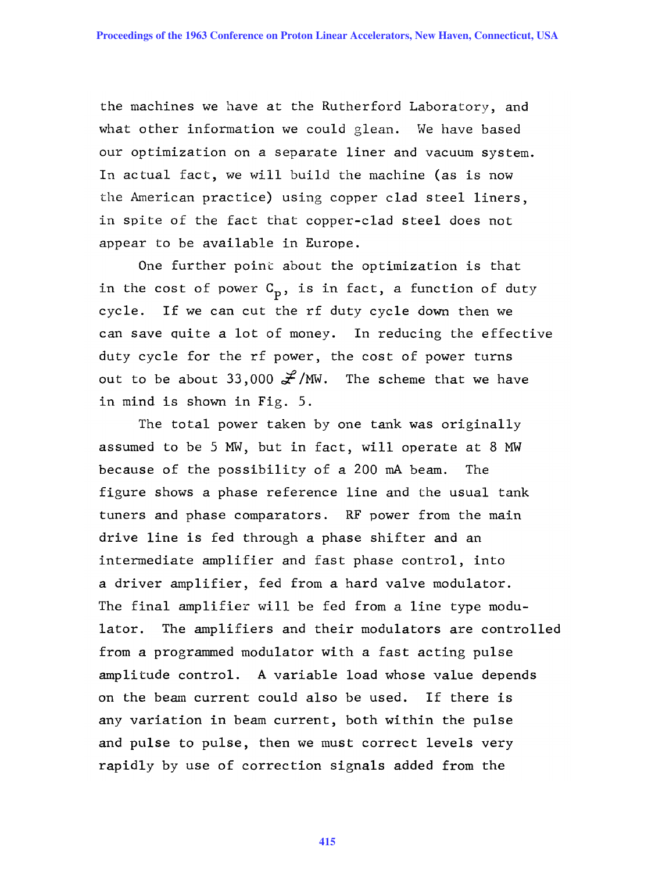the machines we have at the Rutherford Laboratory, and what other information we could glean. We have based our optimization on a separate liner and vacuum system. In actual fact, we will build the machine (as is now the American practice) using copper clad steel liners, in spite of the fact that copper-clad steel does not appear to be available in Europe.

One further point about the optimization is that in the cost of power  $C_p$ , is in fact, a function of duty cycle. If we can cut the rf duty cycle down then we can save quite a lot of money. In reducing the effective duty cycle for the rf power, the cost of power turns out to be about 33,000  $\frac{2}{3}$ /MW. The scheme that we have in mind is shown in Fig. 5.

The total power taken by one tank was originally assumed to be 5 MW, but in fact, will operate at 8 MW because of the possibility of a 200 mA beam. The figure shows a phase reference line and the usual tank tuners and phase comparators. RF power from the main drive line is fed through a phase shifter and an intermediate amplifier and fast phase control, into a driver amplifier, fed from a hard valve modulator. The final amplifier will be fed from a line type modulator. The amplifiers and their modulators are controlled from a programmed modulator with a fast acting pulse amplitude control. A variable load whose value depends on the beam current could also be used. If there is any variation in beam current, both within the pulse and pulse to pulse, then we must correct levels very rapidly by use of correction signals added from the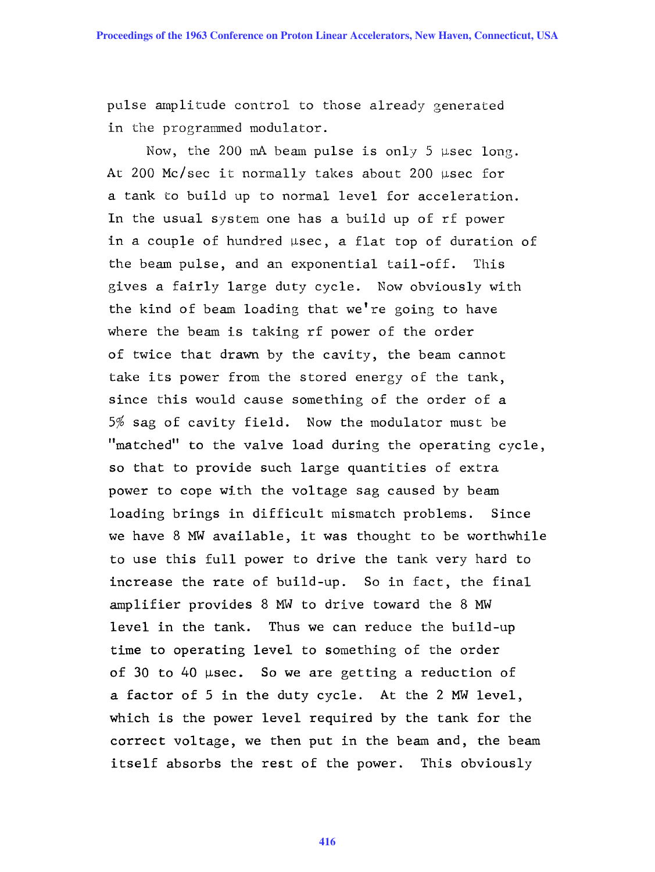pulse amplitude control to those already generated in the programmed modulator.

Now, the 200 mA beam pulse is only 5  $\mu$ sec long. At 200 Mc/sec it normally takes about 200  $\mu$ sec for a tank to build up to normal level for acceleration. In the usual system one has a build up of rf power in a couple of hundred  $\mu$ sec, a flat top of duration of the beam pulse, and an exponential tail-off. This gives a fairly large duty cycle. Now obviously with the kind of beam loading that we're going to have where the beam is taking rf power of the order of twice that drawn by the cavity, the beam cannot take its power from the stored energy of the tank, since this would cause something of the order of a 5% sag of cavity field. Now the modulator must be "matched" to the valve load during the operating cycle, so that to provide such large quantities of extra power to cope with the voltage sag caused by beam loading brings in difficult mismatch problems. Since we have 8 MW available, it was thought to be worthwhile to use this full power to drive the tank very hard to increase the rate of build-up. So in fact, the final amplifier provides 8 MW to drive toward the 8 MW level in the tank. Thus we can reduce the build-up time to operating level to something of the order of 30 to 40  $\mu$ sec. So we are getting a reduction of a factor of 5 in the duty cycle. At the 2 MW level, which is the power level required by the tank for the correct voltage, we then put in the beam and, the beam itself absorbs the rest of the power. This obviously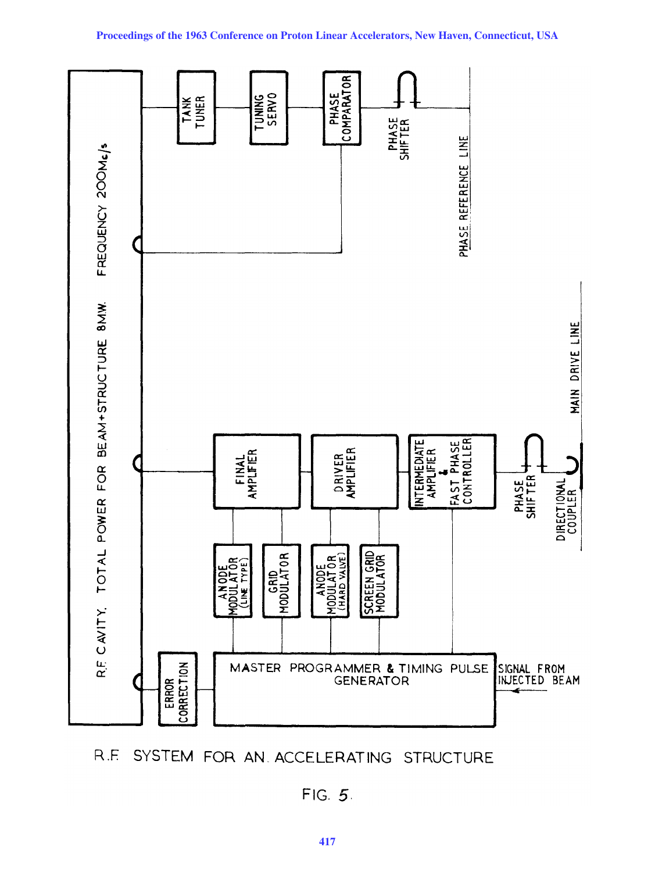

SYSTEM FOR AN ACCELERATING STRUCTURE  $R.E$ 

FIG. 5.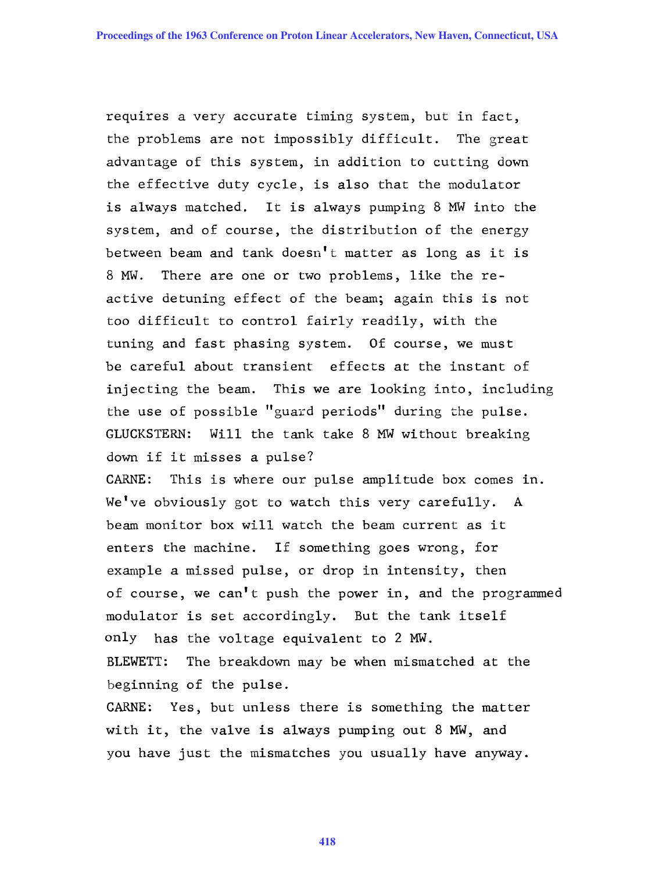requires a very accurate timing system, but in fact, the problems are not impossibly difficult. The great advantage of this system, in addition to cutting down the effective duty cycle, is also that the modulator is always matched. It is always pumping 8 MW into the system, and of course, the distribution of the energy between beam and tank doesn't matter as long as it is 8 MW. There are one or two problems, like the reactive detuning effect of the beam; again this is not too difficult to control fairly readily, with the tuning and fast phasing system. Of course, we must be careful about transient effects at the instant of injecting the beam. This we are looking into, including the use of possible "guard periods" during the pulse. GLUCKSTERN: Will the tank take 8 MW without breaking down if it misses a pulse?

CARNE: This is where our pulse amplitude box comes in. We've obviously got to watch this very carefully. A beam monitor box will watch the beam current as it enters the machine. If something goes wrong, for example a missed pulse, or drop in intensity, then of course, we can't push the power in, and the programmed modulator is set accordingly. But the tank itself only has the voltage equivalent to 2 MW.

BLEWETT: The breakdown may be when mismatched at the beginning of the pulse.

CARNE: Yes, but unless there is something the matter with it, the valve is always pumping out 8 MW, and you have just the mismatches you usually have anyway.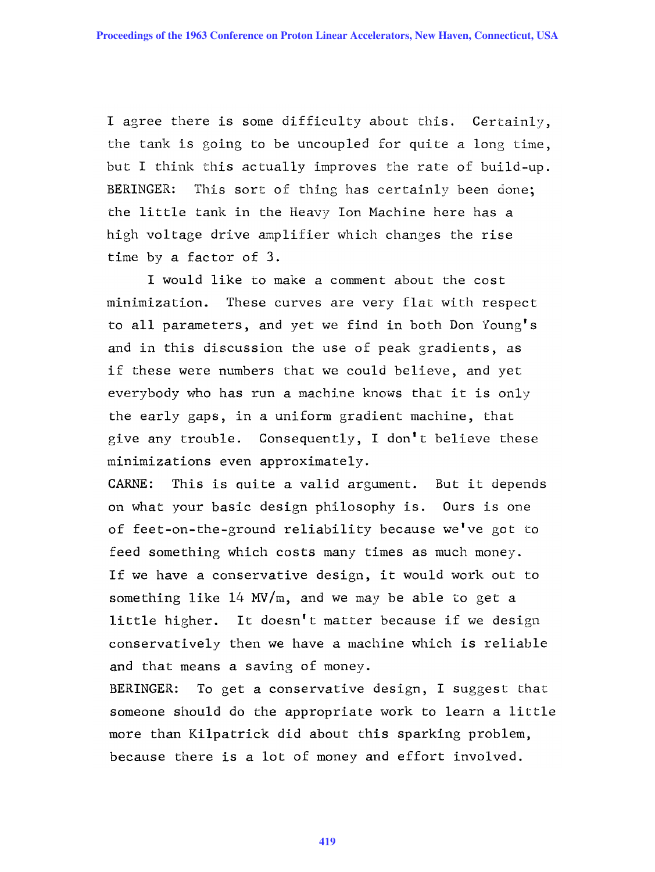I agree there is some difficulty about this. Certainly, the tank is going to be uncoupled for quite a long time, but I think this actually improves the rate of build-up. BERINGER: This sort of thing has certainly been done; the little tank in the Heavy Ion Machine here has a high voltage drive amplifier which changes the rise time by a factor of 3.

I would like to make a comment about the cost minimization. These curves are very flat with respect to all parameters, and yet we find in both Don Young's and in this discussion the use of peak gradients, as if these were numbers that we could believe, and yet everybody who has run a machine knows that it is only the early gaps, in a uniform gradient machine, that give any trouble. Consequently, I don't believe these minimizations even approximately.

CARNE: This is Quite a valid argument. But it depends on what your basic design philosophy is. Ours is one of feet-on-the-ground reliability because we've got to feed something which costs many times as much money. If we have a conservative design, it would work out to something like  $14 \text{ MV/m}$ , and we may be able to get a little higher. It doesn't matter because if we design conservatively then we have a machine which is reliable and that means a saving of money.

BERINGER: To get a conservative design, I suggest that someone should do the appropriate work to learn a little more than Kilpatrick did about this sparking problem, because there is a lot of money and effort involved.